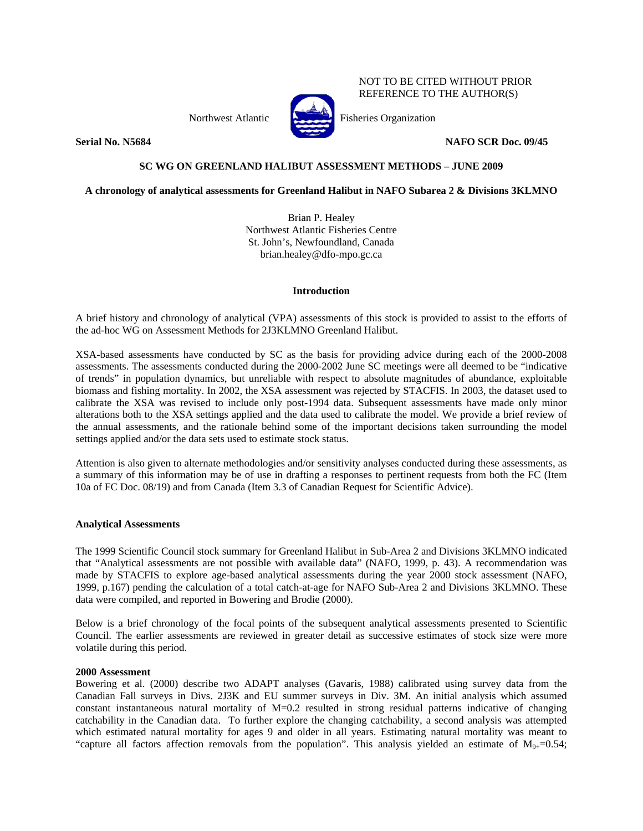Northwest Atlantic Fisheries Organization



NOT TO BE CITED WITHOUT PRIOR REFERENCE TO THE AUTHOR(S)

**Serial No. N5684** NAFO SCR Doc. 09/45

# **SC WG ON GREENLAND HALIBUT ASSESSMENT METHODS – JUNE 2009**

**A chronology of analytical assessments for Greenland Halibut in NAFO Subarea 2 & Divisions 3KLMNO** 

Brian P. Healey Northwest Atlantic Fisheries Centre St. John's, Newfoundland, Canada brian.healey@dfo-mpo.gc.ca

# **Introduction**

A brief history and chronology of analytical (VPA) assessments of this stock is provided to assist to the efforts of the ad-hoc WG on Assessment Methods for 2J3KLMNO Greenland Halibut.

XSA-based assessments have conducted by SC as the basis for providing advice during each of the 2000-2008 assessments. The assessments conducted during the 2000-2002 June SC meetings were all deemed to be "indicative of trends" in population dynamics, but unreliable with respect to absolute magnitudes of abundance, exploitable biomass and fishing mortality. In 2002, the XSA assessment was rejected by STACFIS. In 2003, the dataset used to calibrate the XSA was revised to include only post-1994 data. Subsequent assessments have made only minor alterations both to the XSA settings applied and the data used to calibrate the model. We provide a brief review of the annual assessments, and the rationale behind some of the important decisions taken surrounding the model settings applied and/or the data sets used to estimate stock status.

Attention is also given to alternate methodologies and/or sensitivity analyses conducted during these assessments, as a summary of this information may be of use in drafting a responses to pertinent requests from both the FC (Item 10a of FC Doc. 08/19) and from Canada (Item 3.3 of Canadian Request for Scientific Advice).

# **Analytical Assessments**

The 1999 Scientific Council stock summary for Greenland Halibut in Sub-Area 2 and Divisions 3KLMNO indicated that "Analytical assessments are not possible with available data" (NAFO, 1999, p. 43). A recommendation was made by STACFIS to explore age-based analytical assessments during the year 2000 stock assessment (NAFO, 1999, p.167) pending the calculation of a total catch-at-age for NAFO Sub-Area 2 and Divisions 3KLMNO. These data were compiled, and reported in Bowering and Brodie (2000).

Below is a brief chronology of the focal points of the subsequent analytical assessments presented to Scientific Council. The earlier assessments are reviewed in greater detail as successive estimates of stock size were more volatile during this period.

# **2000 Assessment**

Bowering et al. (2000) describe two ADAPT analyses (Gavaris, 1988) calibrated using survey data from the Canadian Fall surveys in Divs. 2J3K and EU summer surveys in Div. 3M. An initial analysis which assumed constant instantaneous natural mortality of M=0.2 resulted in strong residual patterns indicative of changing catchability in the Canadian data. To further explore the changing catchability, a second analysis was attempted which estimated natural mortality for ages 9 and older in all years. Estimating natural mortality was meant to "capture all factors affection removals from the population". This analysis yielded an estimate of  $M_{9+}=0.54$ ;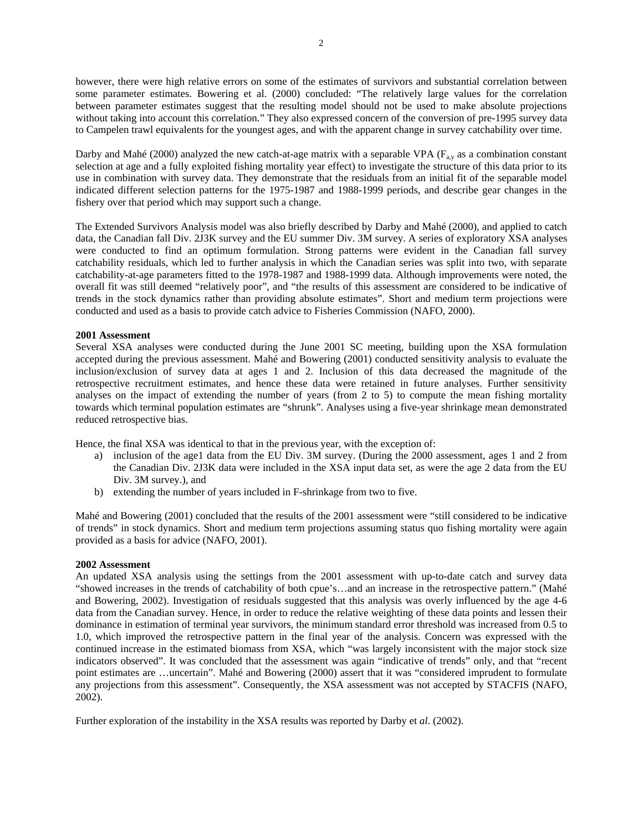however, there were high relative errors on some of the estimates of survivors and substantial correlation between some parameter estimates. Bowering et al. (2000) concluded: "The relatively large values for the correlation between parameter estimates suggest that the resulting model should not be used to make absolute projections without taking into account this correlation." They also expressed concern of the conversion of pre-1995 survey data to Campelen trawl equivalents for the youngest ages, and with the apparent change in survey catchability over time.

Darby and Mahé (2000) analyzed the new catch-at-age matrix with a separable VPA ( $F_{av}$ ) as a combination constant selection at age and a fully exploited fishing mortality year effect) to investigate the structure of this data prior to its use in combination with survey data. They demonstrate that the residuals from an initial fit of the separable model indicated different selection patterns for the 1975-1987 and 1988-1999 periods, and describe gear changes in the fishery over that period which may support such a change.

The Extended Survivors Analysis model was also briefly described by Darby and Mahé (2000), and applied to catch data, the Canadian fall Div. 2J3K survey and the EU summer Div. 3M survey. A series of exploratory XSA analyses were conducted to find an optimum formulation. Strong patterns were evident in the Canadian fall survey catchability residuals, which led to further analysis in which the Canadian series was split into two, with separate catchability-at-age parameters fitted to the 1978-1987 and 1988-1999 data. Although improvements were noted, the overall fit was still deemed "relatively poor", and "the results of this assessment are considered to be indicative of trends in the stock dynamics rather than providing absolute estimates". Short and medium term projections were conducted and used as a basis to provide catch advice to Fisheries Commission (NAFO, 2000).

# **2001 Assessment**

Several XSA analyses were conducted during the June 2001 SC meeting, building upon the XSA formulation accepted during the previous assessment. Mahé and Bowering (2001) conducted sensitivity analysis to evaluate the inclusion/exclusion of survey data at ages 1 and 2. Inclusion of this data decreased the magnitude of the retrospective recruitment estimates, and hence these data were retained in future analyses. Further sensitivity analyses on the impact of extending the number of years (from 2 to 5) to compute the mean fishing mortality towards which terminal population estimates are "shrunk". Analyses using a five-year shrinkage mean demonstrated reduced retrospective bias.

Hence, the final XSA was identical to that in the previous year, with the exception of:

- a) inclusion of the age1 data from the EU Div. 3M survey. (During the 2000 assessment, ages 1 and 2 from the Canadian Div. 2J3K data were included in the XSA input data set, as were the age 2 data from the EU Div. 3M survey.), and
- b) extending the number of years included in F-shrinkage from two to five.

Mahé and Bowering (2001) concluded that the results of the 2001 assessment were "still considered to be indicative of trends" in stock dynamics. Short and medium term projections assuming status quo fishing mortality were again provided as a basis for advice (NAFO, 2001).

# **2002 Assessment**

An updated XSA analysis using the settings from the 2001 assessment with up-to-date catch and survey data "showed increases in the trends of catchability of both cpue's…and an increase in the retrospective pattern." (Mahé and Bowering, 2002). Investigation of residuals suggested that this analysis was overly influenced by the age 4-6 data from the Canadian survey. Hence, in order to reduce the relative weighting of these data points and lessen their dominance in estimation of terminal year survivors, the minimum standard error threshold was increased from 0.5 to 1.0, which improved the retrospective pattern in the final year of the analysis. Concern was expressed with the continued increase in the estimated biomass from XSA, which "was largely inconsistent with the major stock size indicators observed". It was concluded that the assessment was again "indicative of trends" only, and that "recent point estimates are …uncertain". Mahé and Bowering (2000) assert that it was "considered imprudent to formulate any projections from this assessment". Consequently, the XSA assessment was not accepted by STACFIS (NAFO, 2002).

Further exploration of the instability in the XSA results was reported by Darby et *al*. (2002).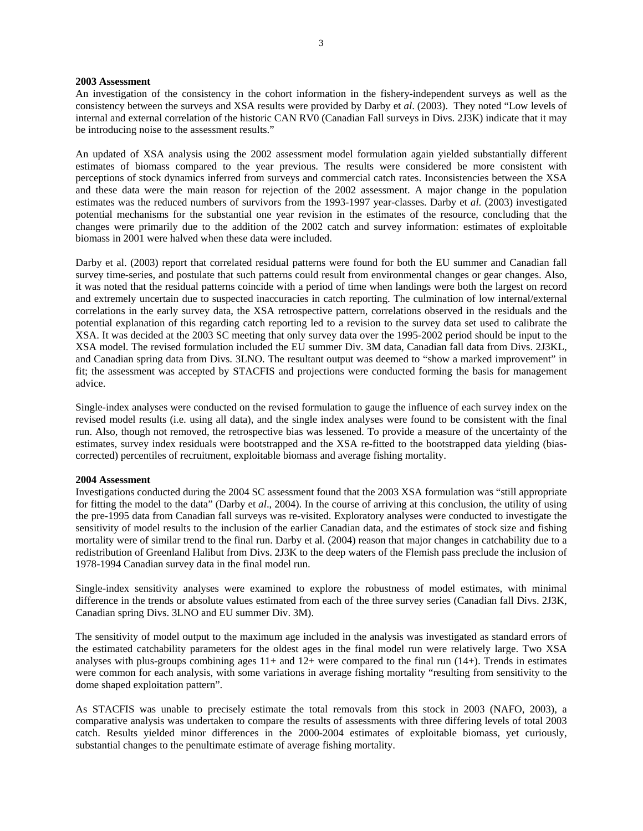### **2003 Assessment**

An investigation of the consistency in the cohort information in the fishery-independent surveys as well as the consistency between the surveys and XSA results were provided by Darby et *al*. (2003). They noted "Low levels of internal and external correlation of the historic CAN RV0 (Canadian Fall surveys in Divs. 2J3K) indicate that it may be introducing noise to the assessment results."

An updated of XSA analysis using the 2002 assessment model formulation again yielded substantially different estimates of biomass compared to the year previous. The results were considered be more consistent with perceptions of stock dynamics inferred from surveys and commercial catch rates. Inconsistencies between the XSA and these data were the main reason for rejection of the 2002 assessment. A major change in the population estimates was the reduced numbers of survivors from the 1993-1997 year-classes. Darby et *al*. (2003) investigated potential mechanisms for the substantial one year revision in the estimates of the resource, concluding that the changes were primarily due to the addition of the 2002 catch and survey information: estimates of exploitable biomass in 2001 were halved when these data were included.

Darby et al. (2003) report that correlated residual patterns were found for both the EU summer and Canadian fall survey time-series, and postulate that such patterns could result from environmental changes or gear changes. Also, it was noted that the residual patterns coincide with a period of time when landings were both the largest on record and extremely uncertain due to suspected inaccuracies in catch reporting. The culmination of low internal/external correlations in the early survey data, the XSA retrospective pattern, correlations observed in the residuals and the potential explanation of this regarding catch reporting led to a revision to the survey data set used to calibrate the XSA. It was decided at the 2003 SC meeting that only survey data over the 1995-2002 period should be input to the XSA model. The revised formulation included the EU summer Div. 3M data, Canadian fall data from Divs. 2J3KL, and Canadian spring data from Divs. 3LNO. The resultant output was deemed to "show a marked improvement" in fit; the assessment was accepted by STACFIS and projections were conducted forming the basis for management advice.

Single-index analyses were conducted on the revised formulation to gauge the influence of each survey index on the revised model results (i.e. using all data), and the single index analyses were found to be consistent with the final run. Also, though not removed, the retrospective bias was lessened. To provide a measure of the uncertainty of the estimates, survey index residuals were bootstrapped and the XSA re-fitted to the bootstrapped data yielding (biascorrected) percentiles of recruitment, exploitable biomass and average fishing mortality.

#### **2004 Assessment**

Investigations conducted during the 2004 SC assessment found that the 2003 XSA formulation was "still appropriate for fitting the model to the data" (Darby et *al*., 2004). In the course of arriving at this conclusion, the utility of using the pre-1995 data from Canadian fall surveys was re-visited. Exploratory analyses were conducted to investigate the sensitivity of model results to the inclusion of the earlier Canadian data, and the estimates of stock size and fishing mortality were of similar trend to the final run. Darby et al. (2004) reason that major changes in catchability due to a redistribution of Greenland Halibut from Divs. 2J3K to the deep waters of the Flemish pass preclude the inclusion of 1978-1994 Canadian survey data in the final model run.

Single-index sensitivity analyses were examined to explore the robustness of model estimates, with minimal difference in the trends or absolute values estimated from each of the three survey series (Canadian fall Divs. 2J3K, Canadian spring Divs. 3LNO and EU summer Div. 3M).

The sensitivity of model output to the maximum age included in the analysis was investigated as standard errors of the estimated catchability parameters for the oldest ages in the final model run were relatively large. Two XSA analyses with plus-groups combining ages  $11+$  and  $12+$  were compared to the final run (14+). Trends in estimates were common for each analysis, with some variations in average fishing mortality "resulting from sensitivity to the dome shaped exploitation pattern".

As STACFIS was unable to precisely estimate the total removals from this stock in 2003 (NAFO, 2003), a comparative analysis was undertaken to compare the results of assessments with three differing levels of total 2003 catch. Results yielded minor differences in the 2000-2004 estimates of exploitable biomass, yet curiously, substantial changes to the penultimate estimate of average fishing mortality.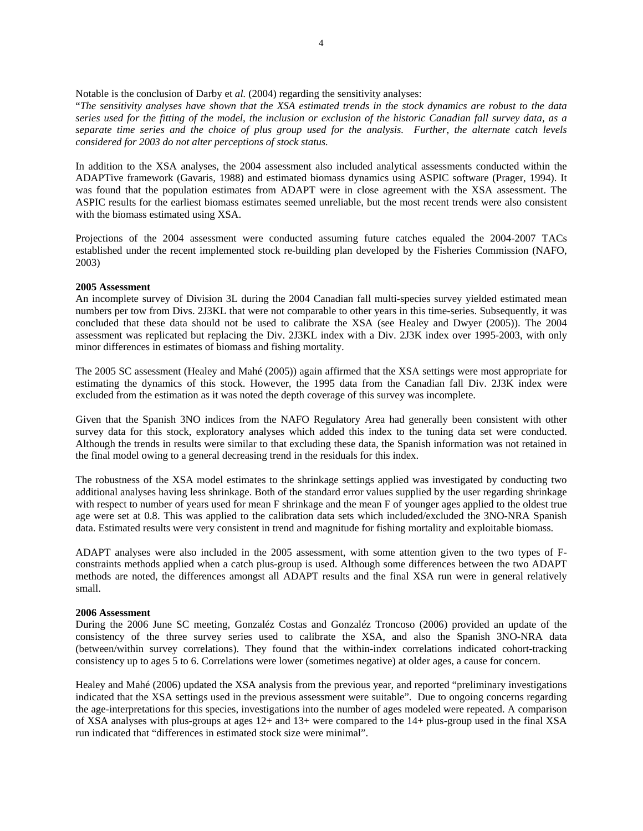Notable is the conclusion of Darby et *al.* (2004) regarding the sensitivity analyses:

"*The sensitivity analyses have shown that the XSA estimated trends in the stock dynamics are robust to the data series used for the fitting of the model, the inclusion or exclusion of the historic Canadian fall survey data, as a separate time series and the choice of plus group used for the analysis. Further, the alternate catch levels considered for 2003 do not alter perceptions of stock status.* 

In addition to the XSA analyses, the 2004 assessment also included analytical assessments conducted within the ADAPTive framework (Gavaris, 1988) and estimated biomass dynamics using ASPIC software (Prager, 1994). It was found that the population estimates from ADAPT were in close agreement with the XSA assessment. The ASPIC results for the earliest biomass estimates seemed unreliable, but the most recent trends were also consistent with the biomass estimated using XSA.

Projections of the 2004 assessment were conducted assuming future catches equaled the 2004-2007 TACs established under the recent implemented stock re-building plan developed by the Fisheries Commission (NAFO, 2003)

### **2005 Assessment**

An incomplete survey of Division 3L during the 2004 Canadian fall multi-species survey yielded estimated mean numbers per tow from Divs. 2J3KL that were not comparable to other years in this time-series. Subsequently, it was concluded that these data should not be used to calibrate the XSA (see Healey and Dwyer (2005)). The 2004 assessment was replicated but replacing the Div. 2J3KL index with a Div. 2J3K index over 1995-2003, with only minor differences in estimates of biomass and fishing mortality.

The 2005 SC assessment (Healey and Mahé (2005)) again affirmed that the XSA settings were most appropriate for estimating the dynamics of this stock. However, the 1995 data from the Canadian fall Div. 2J3K index were excluded from the estimation as it was noted the depth coverage of this survey was incomplete.

Given that the Spanish 3NO indices from the NAFO Regulatory Area had generally been consistent with other survey data for this stock, exploratory analyses which added this index to the tuning data set were conducted. Although the trends in results were similar to that excluding these data, the Spanish information was not retained in the final model owing to a general decreasing trend in the residuals for this index.

The robustness of the XSA model estimates to the shrinkage settings applied was investigated by conducting two additional analyses having less shrinkage. Both of the standard error values supplied by the user regarding shrinkage with respect to number of years used for mean F shrinkage and the mean F of younger ages applied to the oldest true age were set at 0.8. This was applied to the calibration data sets which included/excluded the 3NO-NRA Spanish data. Estimated results were very consistent in trend and magnitude for fishing mortality and exploitable biomass.

ADAPT analyses were also included in the 2005 assessment, with some attention given to the two types of Fconstraints methods applied when a catch plus-group is used. Although some differences between the two ADAPT methods are noted, the differences amongst all ADAPT results and the final XSA run were in general relatively small.

# **2006 Assessment**

During the 2006 June SC meeting, Gonzaléz Costas and Gonzaléz Troncoso (2006) provided an update of the consistency of the three survey series used to calibrate the XSA, and also the Spanish 3NO-NRA data (between/within survey correlations). They found that the within-index correlations indicated cohort-tracking consistency up to ages 5 to 6. Correlations were lower (sometimes negative) at older ages, a cause for concern.

Healey and Mahé (2006) updated the XSA analysis from the previous year, and reported "preliminary investigations indicated that the XSA settings used in the previous assessment were suitable". Due to ongoing concerns regarding the age-interpretations for this species, investigations into the number of ages modeled were repeated. A comparison of XSA analyses with plus-groups at ages 12+ and 13+ were compared to the 14+ plus-group used in the final XSA run indicated that "differences in estimated stock size were minimal".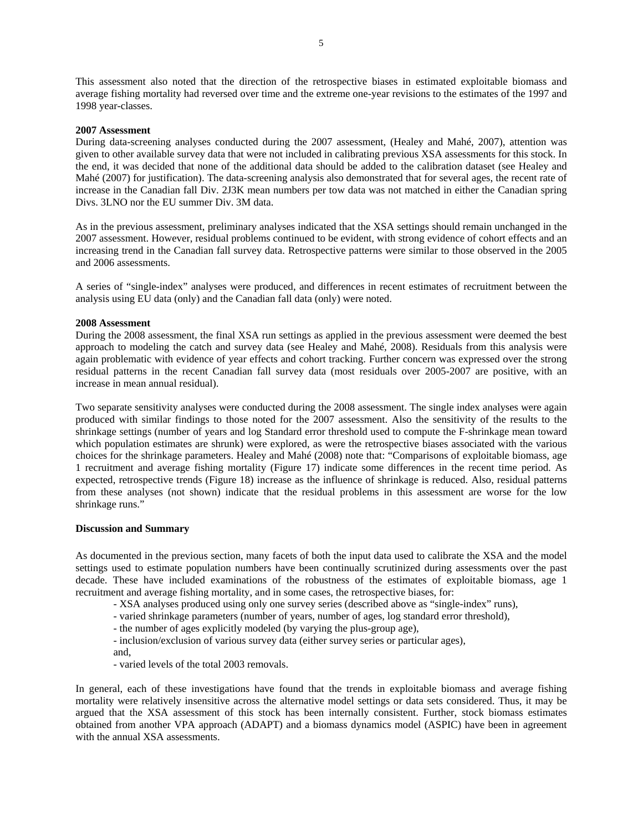This assessment also noted that the direction of the retrospective biases in estimated exploitable biomass and average fishing mortality had reversed over time and the extreme one-year revisions to the estimates of the 1997 and 1998 year-classes.

### **2007 Assessment**

During data-screening analyses conducted during the 2007 assessment, (Healey and Mahé, 2007), attention was given to other available survey data that were not included in calibrating previous XSA assessments for this stock. In the end, it was decided that none of the additional data should be added to the calibration dataset (see Healey and Mahé (2007) for justification). The data-screening analysis also demonstrated that for several ages, the recent rate of increase in the Canadian fall Div. 2J3K mean numbers per tow data was not matched in either the Canadian spring Divs. 3LNO nor the EU summer Div. 3M data.

As in the previous assessment, preliminary analyses indicated that the XSA settings should remain unchanged in the 2007 assessment. However, residual problems continued to be evident, with strong evidence of cohort effects and an increasing trend in the Canadian fall survey data. Retrospective patterns were similar to those observed in the 2005 and 2006 assessments.

A series of "single-index" analyses were produced, and differences in recent estimates of recruitment between the analysis using EU data (only) and the Canadian fall data (only) were noted.

### **2008 Assessment**

During the 2008 assessment, the final XSA run settings as applied in the previous assessment were deemed the best approach to modeling the catch and survey data (see Healey and Mahé, 2008). Residuals from this analysis were again problematic with evidence of year effects and cohort tracking. Further concern was expressed over the strong residual patterns in the recent Canadian fall survey data (most residuals over 2005-2007 are positive, with an increase in mean annual residual).

Two separate sensitivity analyses were conducted during the 2008 assessment. The single index analyses were again produced with similar findings to those noted for the 2007 assessment. Also the sensitivity of the results to the shrinkage settings (number of years and log Standard error threshold used to compute the F-shrinkage mean toward which population estimates are shrunk) were explored, as were the retrospective biases associated with the various choices for the shrinkage parameters. Healey and Mahé (2008) note that: "Comparisons of exploitable biomass, age 1 recruitment and average fishing mortality (Figure 17) indicate some differences in the recent time period. As expected, retrospective trends (Figure 18) increase as the influence of shrinkage is reduced. Also, residual patterns from these analyses (not shown) indicate that the residual problems in this assessment are worse for the low shrinkage runs."

#### **Discussion and Summary**

As documented in the previous section, many facets of both the input data used to calibrate the XSA and the model settings used to estimate population numbers have been continually scrutinized during assessments over the past decade. These have included examinations of the robustness of the estimates of exploitable biomass, age 1 recruitment and average fishing mortality, and in some cases, the retrospective biases, for:

- XSA analyses produced using only one survey series (described above as "single-index" runs),
- varied shrinkage parameters (number of years, number of ages, log standard error threshold),
- the number of ages explicitly modeled (by varying the plus-group age),
- inclusion/exclusion of various survey data (either survey series or particular ages),
- and,
- varied levels of the total 2003 removals.

In general, each of these investigations have found that the trends in exploitable biomass and average fishing mortality were relatively insensitive across the alternative model settings or data sets considered. Thus, it may be argued that the XSA assessment of this stock has been internally consistent. Further, stock biomass estimates obtained from another VPA approach (ADAPT) and a biomass dynamics model (ASPIC) have been in agreement with the annual XSA assessments.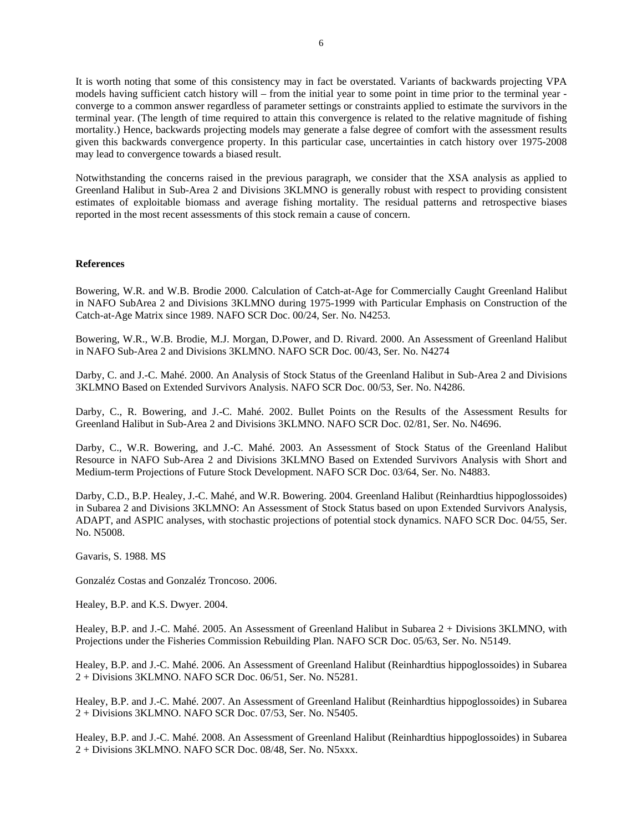It is worth noting that some of this consistency may in fact be overstated. Variants of backwards projecting VPA models having sufficient catch history will – from the initial year to some point in time prior to the terminal year converge to a common answer regardless of parameter settings or constraints applied to estimate the survivors in the terminal year. (The length of time required to attain this convergence is related to the relative magnitude of fishing mortality.) Hence, backwards projecting models may generate a false degree of comfort with the assessment results given this backwards convergence property. In this particular case, uncertainties in catch history over 1975-2008 may lead to convergence towards a biased result.

Notwithstanding the concerns raised in the previous paragraph, we consider that the XSA analysis as applied to Greenland Halibut in Sub-Area 2 and Divisions 3KLMNO is generally robust with respect to providing consistent estimates of exploitable biomass and average fishing mortality. The residual patterns and retrospective biases reported in the most recent assessments of this stock remain a cause of concern.

### **References**

Bowering, W.R. and W.B. Brodie 2000. Calculation of Catch-at-Age for Commercially Caught Greenland Halibut in NAFO SubArea 2 and Divisions 3KLMNO during 1975-1999 with Particular Emphasis on Construction of the Catch-at-Age Matrix since 1989. NAFO SCR Doc. 00/24, Ser. No. N4253.

Bowering, W.R., W.B. Brodie, M.J. Morgan, D.Power, and D. Rivard. 2000. An Assessment of Greenland Halibut in NAFO Sub-Area 2 and Divisions 3KLMNO. NAFO SCR Doc. 00/43, Ser. No. N4274

Darby, C. and J.-C. Mahé. 2000. An Analysis of Stock Status of the Greenland Halibut in Sub-Area 2 and Divisions 3KLMNO Based on Extended Survivors Analysis. NAFO SCR Doc. 00/53, Ser. No. N4286.

Darby, C., R. Bowering, and J.-C. Mahé. 2002. Bullet Points on the Results of the Assessment Results for Greenland Halibut in Sub-Area 2 and Divisions 3KLMNO. NAFO SCR Doc. 02/81, Ser. No. N4696.

Darby, C., W.R. Bowering, and J.-C. Mahé. 2003. An Assessment of Stock Status of the Greenland Halibut Resource in NAFO Sub-Area 2 and Divisions 3KLMNO Based on Extended Survivors Analysis with Short and Medium-term Projections of Future Stock Development. NAFO SCR Doc. 03/64, Ser. No. N4883.

Darby, C.D., B.P. Healey, J.-C. Mahé, and W.R. Bowering. 2004. Greenland Halibut (Reinhardtius hippoglossoides) in Subarea 2 and Divisions 3KLMNO: An Assessment of Stock Status based on upon Extended Survivors Analysis, ADAPT, and ASPIC analyses, with stochastic projections of potential stock dynamics. NAFO SCR Doc. 04/55, Ser. No. N5008.

Gavaris, S. 1988. MS

Gonzaléz Costas and Gonzaléz Troncoso. 2006.

Healey, B.P. and K.S. Dwyer. 2004.

Healey, B.P. and J.-C. Mahé. 2005. An Assessment of Greenland Halibut in Subarea 2 + Divisions 3KLMNO, with Projections under the Fisheries Commission Rebuilding Plan. NAFO SCR Doc. 05/63, Ser. No. N5149.

Healey, B.P. and J.-C. Mahé. 2006. An Assessment of Greenland Halibut (Reinhardtius hippoglossoides) in Subarea 2 + Divisions 3KLMNO. NAFO SCR Doc. 06/51, Ser. No. N5281.

Healey, B.P. and J.-C. Mahé. 2007. An Assessment of Greenland Halibut (Reinhardtius hippoglossoides) in Subarea 2 + Divisions 3KLMNO. NAFO SCR Doc. 07/53, Ser. No. N5405.

Healey, B.P. and J.-C. Mahé. 2008. An Assessment of Greenland Halibut (Reinhardtius hippoglossoides) in Subarea 2 + Divisions 3KLMNO. NAFO SCR Doc. 08/48, Ser. No. N5xxx.